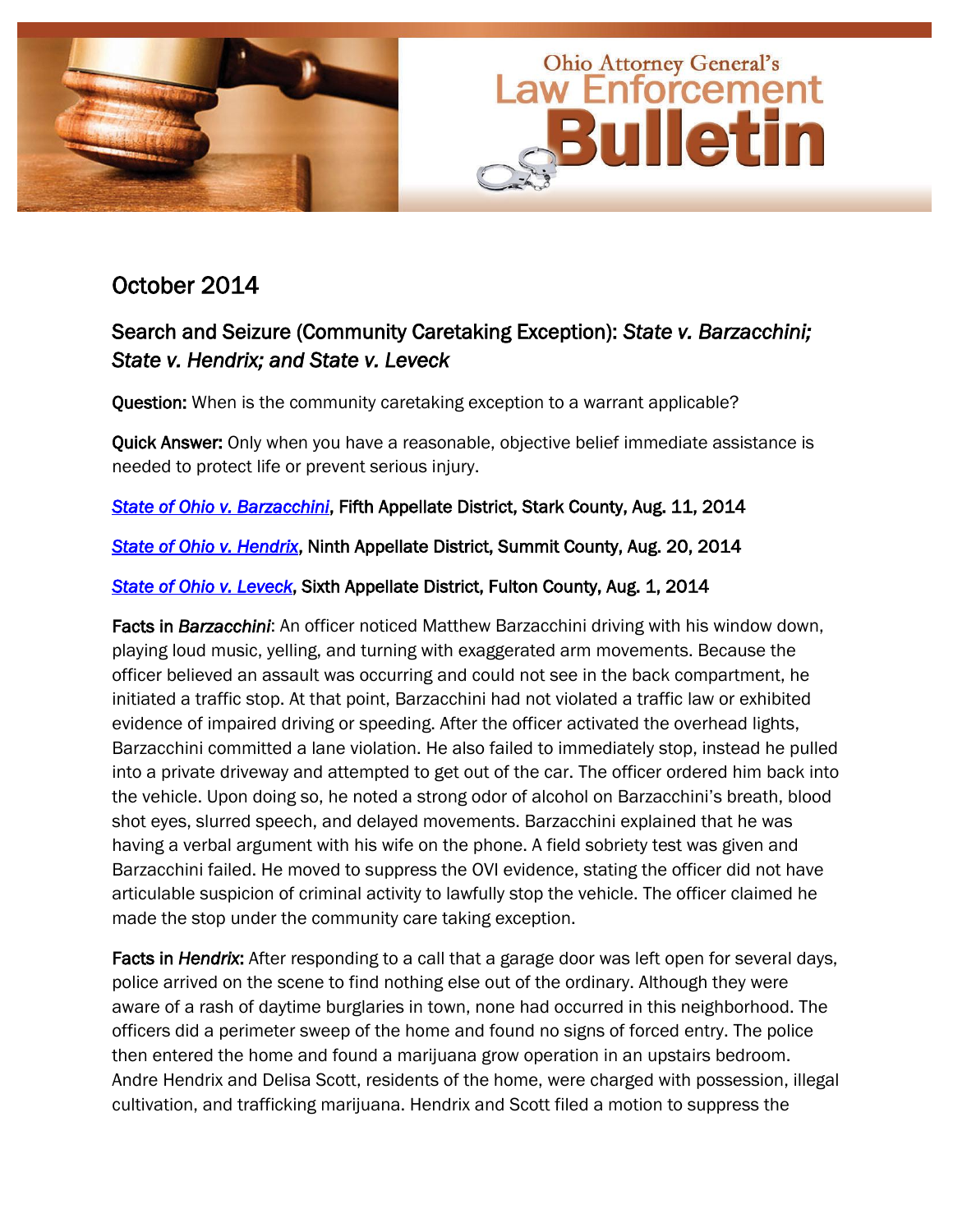

# October 2014

## Search and Seizure (Community Caretaking Exception): *State v. Barzacchini; State v. Hendrix; and State v. Leveck*

Question: When is the community caretaking exception to a warrant applicable?

Quick Answer: Only when you have a reasonable, objective belief immediate assistance is needed to protect life or prevent serious injury.

*[State of Ohio v. Barzacchini](http://www.sconet.state.oh.us/rod/docs/pdf/5/2014/2014-ohio-3467.pdf)*, Fifth Appellate District, Stark County, Aug. 11, 2014

*[State of Ohio v. Hendrix](http://www.sconet.state.oh.us/rod/docs/pdf/9/2014/2014-ohio-3577.pdf)*, Ninth Appellate District, Summit County, Aug. 20, 2014

## *[State of Ohio v. Leveck](http://www.sconet.state.oh.us/rod/docs/pdf/6/2014/2014-ohio-3361.pdf)*, Sixth Appellate District, Fulton County, Aug. 1, 2014

Facts in *Barzacchini*: An officer noticed Matthew Barzacchini driving with his window down, playing loud music, yelling, and turning with exaggerated arm movements. Because the officer believed an assault was occurring and could not see in the back compartment, he initiated a traffic stop. At that point, Barzacchini had not violated a traffic law or exhibited evidence of impaired driving or speeding. After the officer activated the overhead lights, Barzacchini committed a lane violation. He also failed to immediately stop, instead he pulled into a private driveway and attempted to get out of the car. The officer ordered him back into the vehicle. Upon doing so, he noted a strong odor of alcohol on Barzacchini's breath, blood shot eyes, slurred speech, and delayed movements. Barzacchini explained that he was having a verbal argument with his wife on the phone. A field sobriety test was given and Barzacchini failed. He moved to suppress the OVI evidence, stating the officer did not have articulable suspicion of criminal activity to lawfully stop the vehicle. The officer claimed he made the stop under the community care taking exception.

Facts in *Hendrix*: After responding to a call that a garage door was left open for several days, police arrived on the scene to find nothing else out of the ordinary. Although they were aware of a rash of daytime burglaries in town, none had occurred in this neighborhood. The officers did a perimeter sweep of the home and found no signs of forced entry. The police then entered the home and found a marijuana grow operation in an upstairs bedroom. Andre Hendrix and Delisa Scott, residents of the home, were charged with possession, illegal cultivation, and trafficking marijuana. Hendrix and Scott filed a motion to suppress the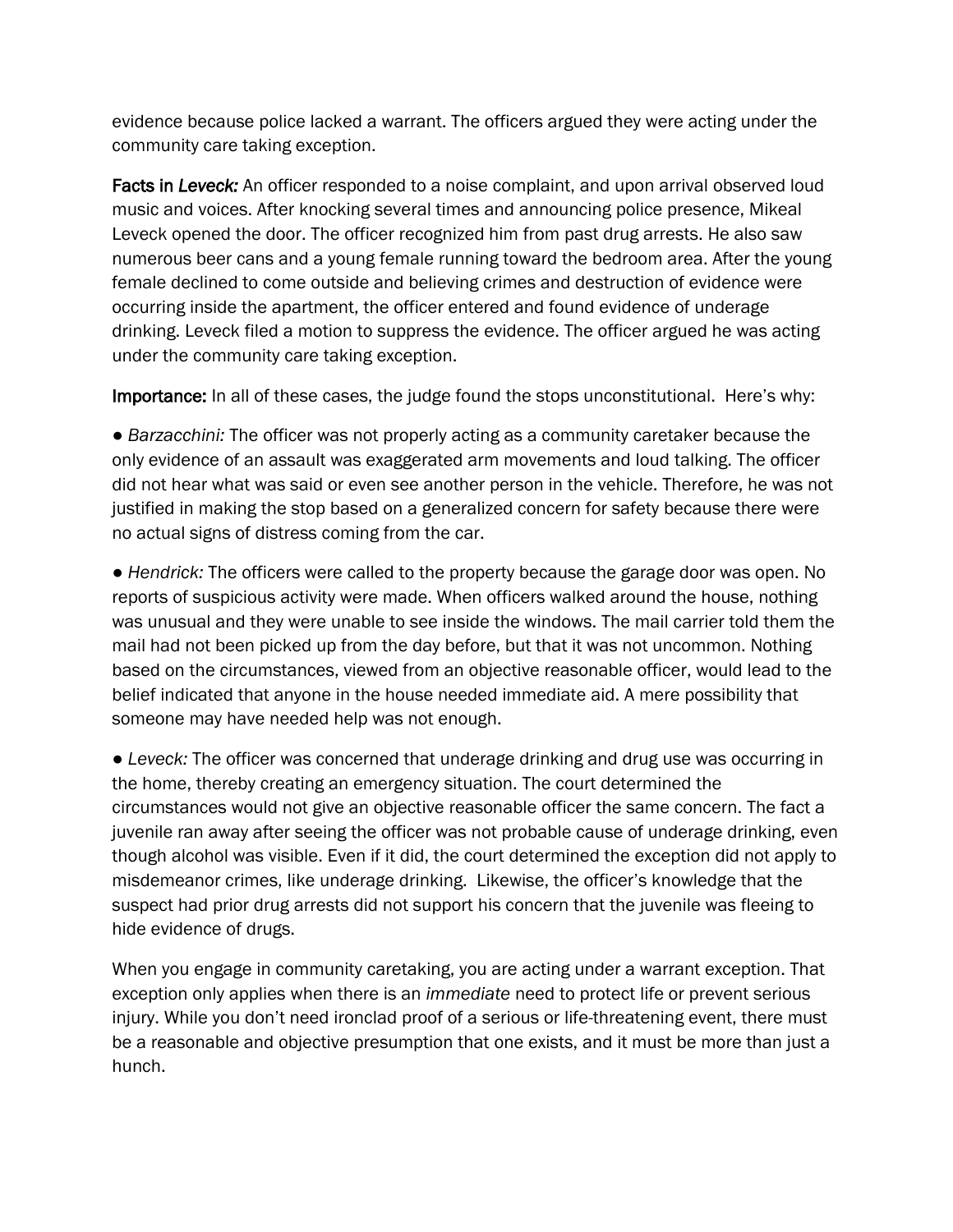evidence because police lacked a warrant. The officers argued they were acting under the community care taking exception.

Facts in *Leveck:* An officer responded to a noise complaint, and upon arrival observed loud music and voices. After knocking several times and announcing police presence, Mikeal Leveck opened the door. The officer recognized him from past drug arrests. He also saw numerous beer cans and a young female running toward the bedroom area. After the young female declined to come outside and believing crimes and destruction of evidence were occurring inside the apartment, the officer entered and found evidence of underage drinking. Leveck filed a motion to suppress the evidence. The officer argued he was acting under the community care taking exception.

Importance: In all of these cases, the judge found the stops unconstitutional. Here's why:

● *Barzacchini:* The officer was not properly acting as a community caretaker because the only evidence of an assault was exaggerated arm movements and loud talking. The officer did not hear what was said or even see another person in the vehicle. Therefore, he was not justified in making the stop based on a generalized concern for safety because there were no actual signs of distress coming from the car.

● *Hendrick:* The officers were called to the property because the garage door was open. No reports of suspicious activity were made. When officers walked around the house, nothing was unusual and they were unable to see inside the windows. The mail carrier told them the mail had not been picked up from the day before, but that it was not uncommon. Nothing based on the circumstances, viewed from an objective reasonable officer, would lead to the belief indicated that anyone in the house needed immediate aid. A mere possibility that someone may have needed help was not enough.

● *Leveck:* The officer was concerned that underage drinking and drug use was occurring in the home, thereby creating an emergency situation. The court determined the circumstances would not give an objective reasonable officer the same concern. The fact a juvenile ran away after seeing the officer was not probable cause of underage drinking, even though alcohol was visible. Even if it did, the court determined the exception did not apply to misdemeanor crimes, like underage drinking. Likewise, the officer's knowledge that the suspect had prior drug arrests did not support his concern that the juvenile was fleeing to hide evidence of drugs.

When you engage in community caretaking, you are acting under a warrant exception. That exception only applies when there is an *immediate* need to protect life or prevent serious injury. While you don't need ironclad proof of a serious or life-threatening event, there must be a reasonable and objective presumption that one exists, and it must be more than just a hunch.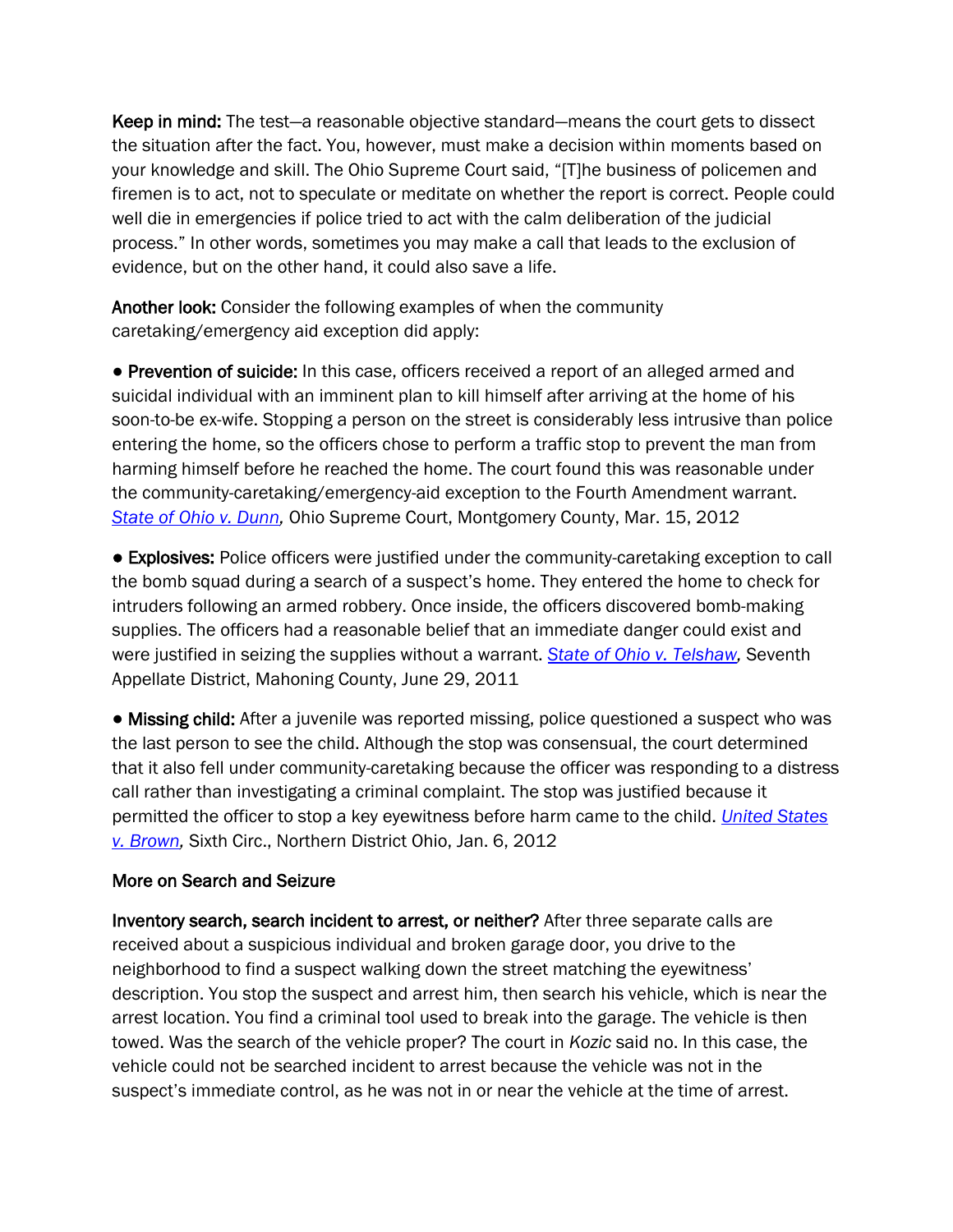Keep in mind: The test—a reasonable objective standard—means the court gets to dissect the situation after the fact. You, however, must make a decision within moments based on your knowledge and skill. The Ohio Supreme Court said, "[T]he business of policemen and firemen is to act, not to speculate or meditate on whether the report is correct. People could well die in emergencies if police tried to act with the calm deliberation of the judicial process.‖ In other words, sometimes you may make a call that leads to the exclusion of evidence, but on the other hand, it could also save a life.

Another look: Consider the following examples of when the community caretaking/emergency aid exception did apply:

● Prevention of suicide: In this case, officers received a report of an alleged armed and suicidal individual with an imminent plan to kill himself after arriving at the home of his soon-to-be ex-wife. Stopping a person on the street is considerably less intrusive than police entering the home, so the officers chose to perform a traffic stop to prevent the man from harming himself before he reached the home. The court found this was reasonable under the community-caretaking/emergency-aid exception to the Fourth Amendment warrant. *[State of Ohio v. Dunn,](http://www.sconet.state.oh.us/rod/docs/pdf/0/2012/2012-ohio-1008.pdf)* Ohio Supreme Court, Montgomery County, Mar. 15, 2012

● Explosives: Police officers were justified under the community-caretaking exception to call the bomb squad during a search of a suspect's home. They entered the home to check for intruders following an armed robbery. Once inside, the officers discovered bomb-making supplies. The officers had a reasonable belief that an immediate danger could exist and were justified in seizing the supplies without a warrant. *[State of Ohio v. Telshaw,](http://www.sconet.state.oh.us/rod/docs/pdf/7/2011/2011-ohio-3373.pdf)* Seventh Appellate District, Mahoning County, June 29, 2011

• Missing child: After a juvenile was reported missing, police questioned a suspect who was the last person to see the child. Although the stop was consensual, the court determined that it also fell under community-caretaking because the officer was responding to a distress call rather than investigating a criminal complaint. The stop was justified because it permitted the officer to stop a key eyewitness before harm came to the child. *[United States](http://www.ca6.uscourts.gov/opinions.pdf/12a0011n-06.pdf)  [v. Brown,](http://www.ca6.uscourts.gov/opinions.pdf/12a0011n-06.pdf)* Sixth Circ., Northern District Ohio, Jan. 6, 2012

#### More on Search and Seizure

Inventory search, search incident to arrest, or neither? After three separate calls are received about a suspicious individual and broken garage door, you drive to the neighborhood to find a suspect walking down the street matching the eyewitness' description. You stop the suspect and arrest him, then search his vehicle, which is near the arrest location. You find a criminal tool used to break into the garage. The vehicle is then towed. Was the search of the vehicle proper? The court in *Kozic* said no. In this case, the vehicle could not be searched incident to arrest because the vehicle was not in the suspect's immediate control, as he was not in or near the vehicle at the time of arrest.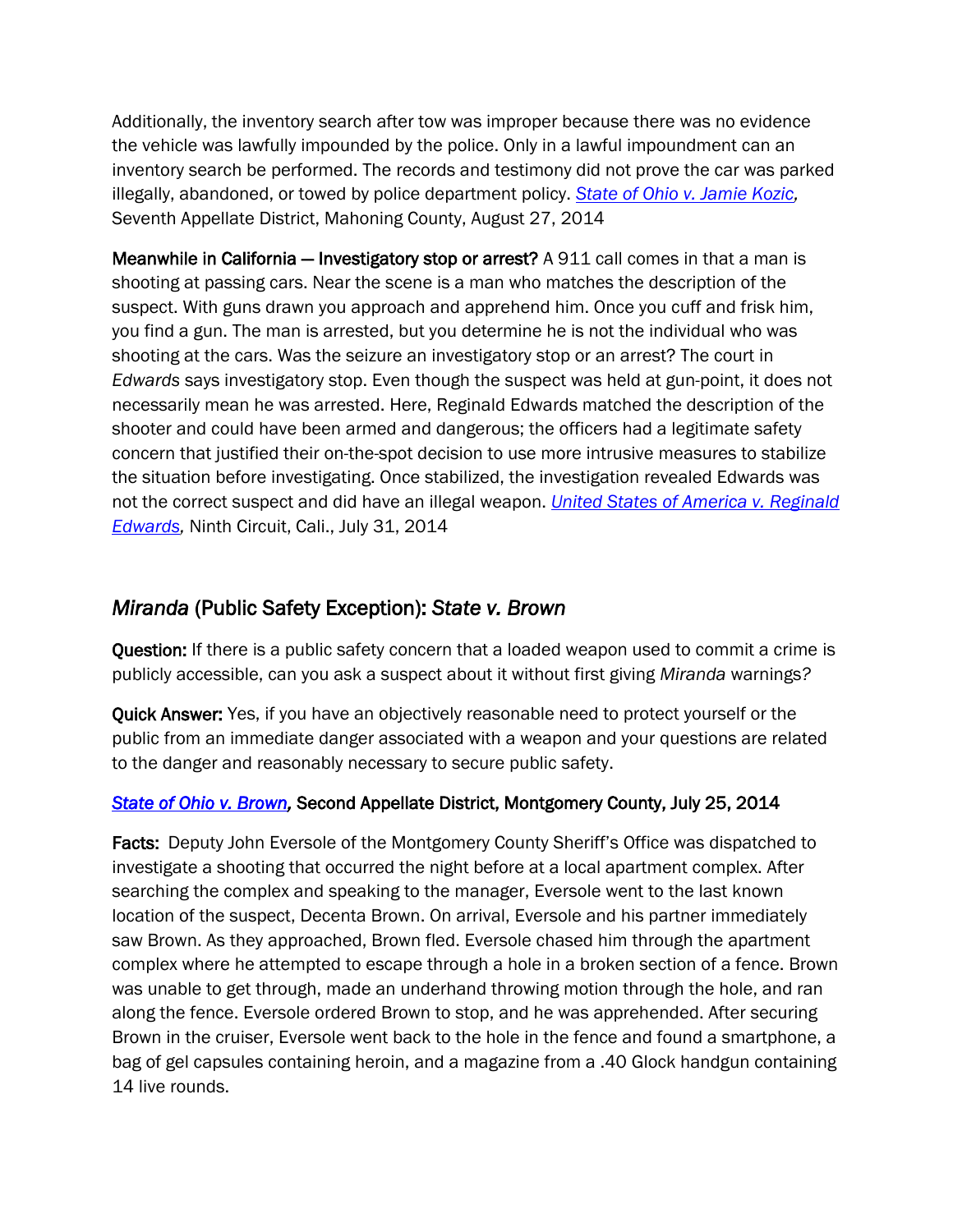Additionally, the inventory search after tow was improper because there was no evidence the vehicle was lawfully impounded by the police. Only in a lawful impoundment can an inventory search be performed. The records and testimony did not prove the car was parked illegally, abandoned, or towed by police department policy. *[State of Ohio v. Jamie Kozic,](http://www.sconet.state.oh.us/rod/docs/pdf/7/2014/2014-ohio-3807.pdf)*  Seventh Appellate District, Mahoning County, August 27, 2014

Meanwhile in California – Investigatory stop or arrest? A 911 call comes in that a man is shooting at passing cars. Near the scene is a man who matches the description of the suspect. With guns drawn you approach and apprehend him. Once you cuff and frisk him, you find a gun. The man is arrested, but you determine he is not the individual who was shooting at the cars. Was the seizure an investigatory stop or an arrest? The court in *Edwards* says investigatory stop. Even though the suspect was held at gun-point, it does not necessarily mean he was arrested. Here, Reginald Edwards matched the description of the shooter and could have been armed and dangerous; the officers had a legitimate safety concern that justified their on-the-spot decision to use more intrusive measures to stabilize the situation before investigating. Once stabilized, the investigation revealed Edwards was not the correct suspect and did have an illegal weapon. *[United States of America v. Reginald](http://cdn.ca9.uscourts.gov/datastore/opinions/2014/07/31/13-50165.pdf)  [Edwards,](http://cdn.ca9.uscourts.gov/datastore/opinions/2014/07/31/13-50165.pdf)* Ninth Circuit, Cali., July 31, 2014

## *Miranda* (Public Safety Exception): *State v. Brown*

Question: If there is a public safety concern that a loaded weapon used to commit a crime is publicly accessible, can you ask a suspect about it without first giving *Miranda* warnings*?*

Quick Answer: Yes, if you have an objectively reasonable need to protect yourself or the public from an immediate danger associated with a weapon and your questions are related to the danger and reasonably necessary to secure public safety.

## *[State of Ohio v. Brown,](http://www.sconet.state.oh.us/rod/docs/pdf/2/2014/2014-ohio-3257.pdf)* Second Appellate District, Montgomery County, July 25, 2014

Facts: Deputy John Eversole of the Montgomery County Sheriff's Office was dispatched to investigate a shooting that occurred the night before at a local apartment complex. After searching the complex and speaking to the manager, Eversole went to the last known location of the suspect, Decenta Brown. On arrival, Eversole and his partner immediately saw Brown. As they approached, Brown fled. Eversole chased him through the apartment complex where he attempted to escape through a hole in a broken section of a fence. Brown was unable to get through, made an underhand throwing motion through the hole, and ran along the fence. Eversole ordered Brown to stop, and he was apprehended. After securing Brown in the cruiser, Eversole went back to the hole in the fence and found a smartphone, a bag of gel capsules containing heroin, and a magazine from a .40 Glock handgun containing 14 live rounds.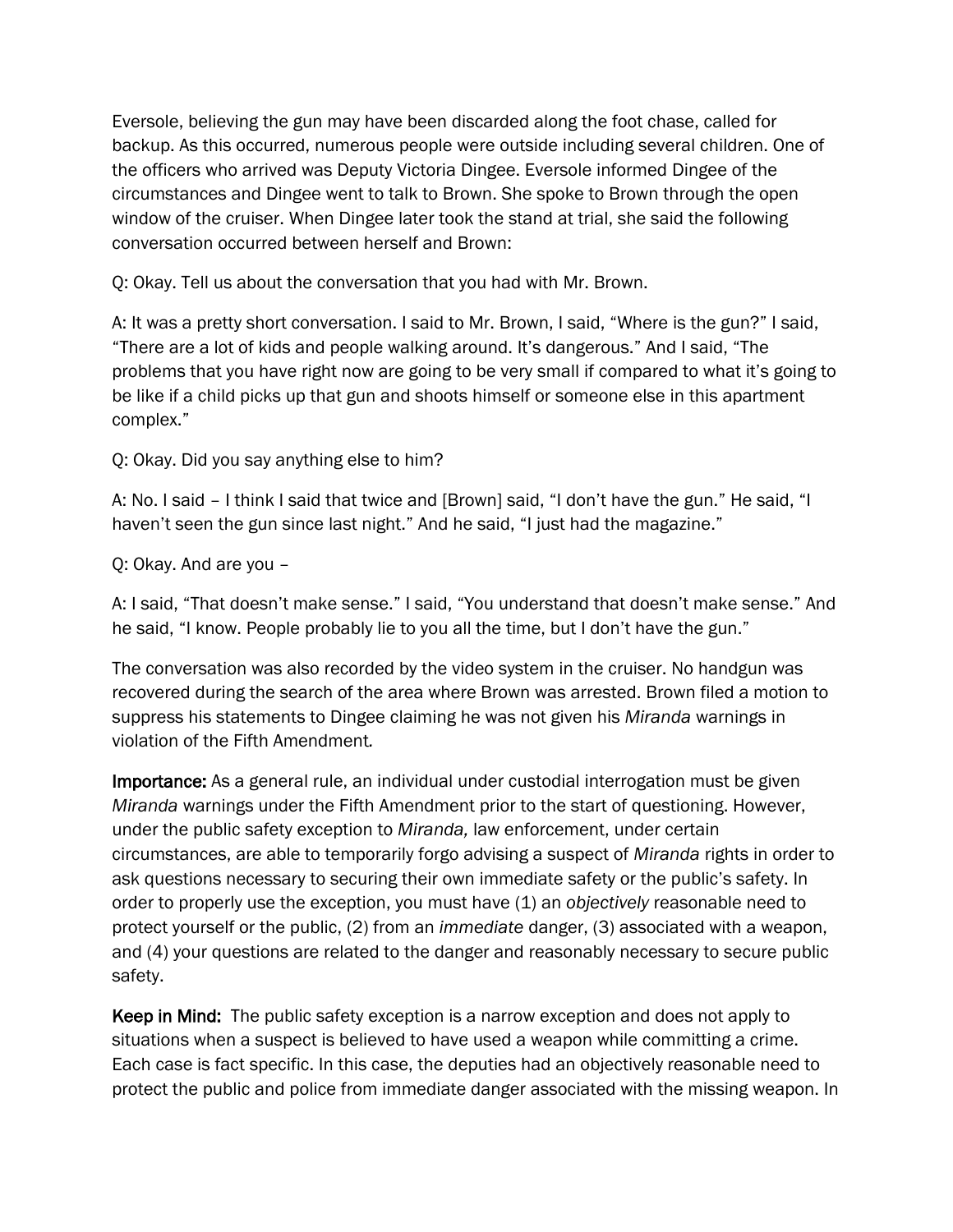Eversole, believing the gun may have been discarded along the foot chase, called for backup. As this occurred, numerous people were outside including several children. One of the officers who arrived was Deputy Victoria Dingee. Eversole informed Dingee of the circumstances and Dingee went to talk to Brown. She spoke to Brown through the open window of the cruiser. When Dingee later took the stand at trial, she said the following conversation occurred between herself and Brown:

Q: Okay. Tell us about the conversation that you had with Mr. Brown.

A: It was a pretty short conversation. I said to Mr. Brown, I said, "Where is the gun?" I said, "There are a lot of kids and people walking around. It's dangerous." And I said, "The problems that you have right now are going to be very small if compared to what it's going to be like if a child picks up that gun and shoots himself or someone else in this apartment complex."

Q: Okay. Did you say anything else to him?

A: No. I said – I think I said that twice and [Brown] said, "I don't have the gun." He said, "I haven't seen the gun since last night." And he said, "I just had the magazine."

Q: Okay. And are you –

A: I said, "That doesn't make sense." I said, "You understand that doesn't make sense." And he said, "I know. People probably lie to you all the time, but I don't have the gun."

The conversation was also recorded by the video system in the cruiser. No handgun was recovered during the search of the area where Brown was arrested. Brown filed a motion to suppress his statements to Dingee claiming he was not given his *Miranda* warnings in violation of the Fifth Amendment*.*

Importance: As a general rule, an individual under custodial interrogation must be given *Miranda* warnings under the Fifth Amendment prior to the start of questioning. However, under the public safety exception to *Miranda,* law enforcement, under certain circumstances, are able to temporarily forgo advising a suspect of *Miranda* rights in order to ask questions necessary to securing their own immediate safety or the public's safety. In order to properly use the exception, you must have (1) an *objectively* reasonable need to protect yourself or the public, (2) from an *immediate* danger, (3) associated with a weapon, and (4) your questions are related to the danger and reasonably necessary to secure public safety.

Keep in Mind: The public safety exception is a narrow exception and does not apply to situations when a suspect is believed to have used a weapon while committing a crime. Each case is fact specific. In this case, the deputies had an objectively reasonable need to protect the public and police from immediate danger associated with the missing weapon. In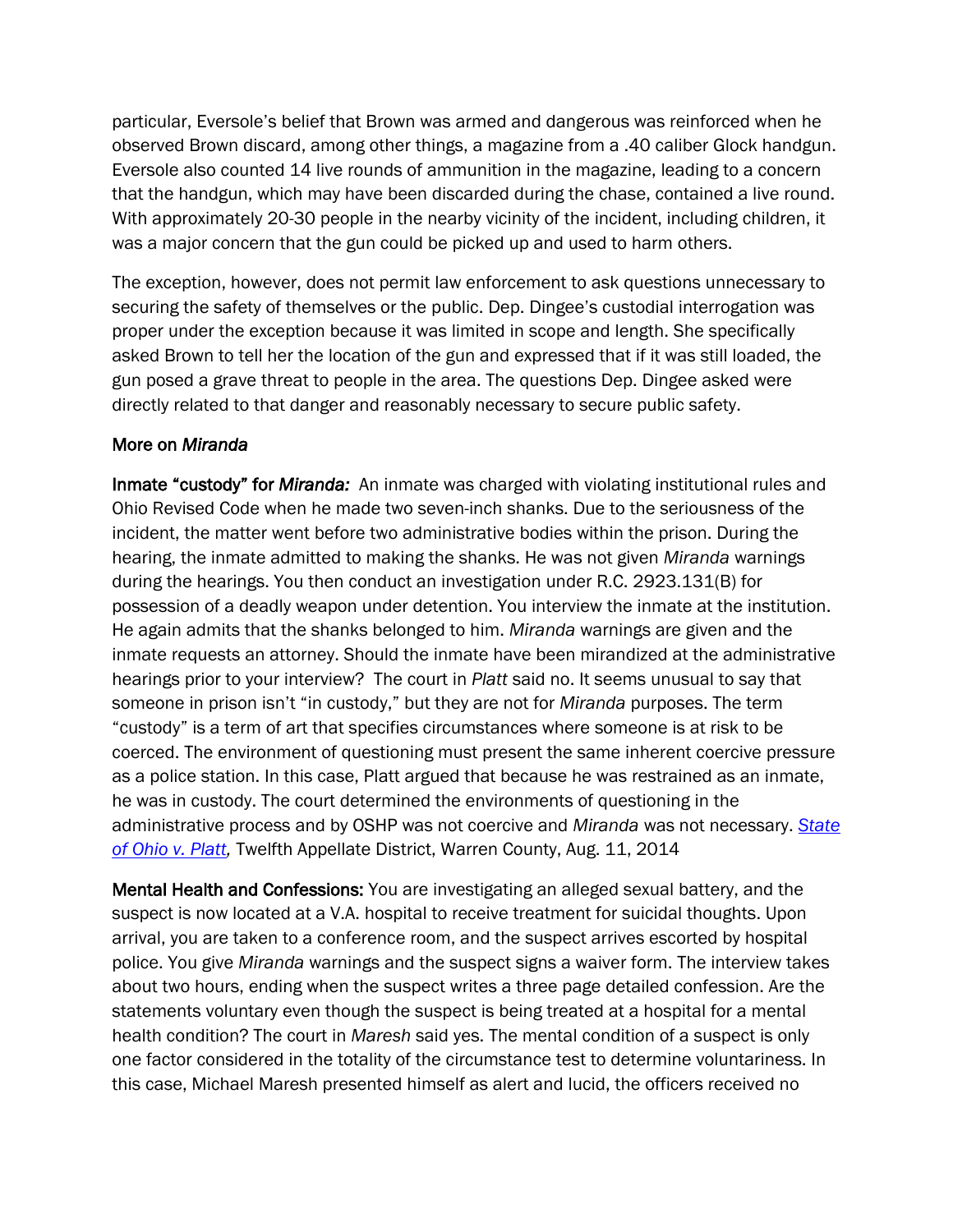particular, Eversole's belief that Brown was armed and dangerous was reinforced when he observed Brown discard, among other things, a magazine from a .40 caliber Glock handgun. Eversole also counted 14 live rounds of ammunition in the magazine, leading to a concern that the handgun, which may have been discarded during the chase, contained a live round. With approximately 20-30 people in the nearby vicinity of the incident, including children, it was a major concern that the gun could be picked up and used to harm others.

The exception, however, does not permit law enforcement to ask questions unnecessary to securing the safety of themselves or the public. Dep. Dingee's custodial interrogation was proper under the exception because it was limited in scope and length. She specifically asked Brown to tell her the location of the gun and expressed that if it was still loaded, the gun posed a grave threat to people in the area. The questions Dep. Dingee asked were directly related to that danger and reasonably necessary to secure public safety.

#### More on *Miranda*

Inmate "custody" for *Miranda:* An inmate was charged with violating institutional rules and Ohio Revised Code when he made two seven-inch shanks. Due to the seriousness of the incident, the matter went before two administrative bodies within the prison. During the hearing, the inmate admitted to making the shanks. He was not given *Miranda* warnings during the hearings. You then conduct an investigation under R.C. 2923.131(B) for possession of a deadly weapon under detention. You interview the inmate at the institution. He again admits that the shanks belonged to him. *Miranda* warnings are given and the inmate requests an attorney. Should the inmate have been mirandized at the administrative hearings prior to your interview? The court in *Platt* said no. It seems unusual to say that someone in prison isn't "in custody," but they are not for *Miranda* purposes. The term ―custody‖ is a term of art that specifies circumstances where someone is at risk to be coerced. The environment of questioning must present the same inherent coercive pressure as a police station. In this case, Platt argued that because he was restrained as an inmate, he was in custody. The court determined the environments of questioning in the administrative process and by OSHP was not coercive and *Miranda* was not necessary. *[State](http://www.sconet.state.oh.us/rod/docs/pdf/12/2014/2014-ohio-3450.pdf)  [of Ohio v. Platt,](http://www.sconet.state.oh.us/rod/docs/pdf/12/2014/2014-ohio-3450.pdf)* Twelfth Appellate District, Warren County, Aug. 11, 2014

Mental Health and Confessions: You are investigating an alleged sexual battery, and the suspect is now located at a V.A. hospital to receive treatment for suicidal thoughts. Upon arrival, you are taken to a conference room, and the suspect arrives escorted by hospital police. You give *Miranda* warnings and the suspect signs a waiver form. The interview takes about two hours, ending when the suspect writes a three page detailed confession. Are the statements voluntary even though the suspect is being treated at a hospital for a mental health condition? The court in *Maresh* said yes. The mental condition of a suspect is only one factor considered in the totality of the circumstance test to determine voluntariness. In this case, Michael Maresh presented himself as alert and lucid, the officers received no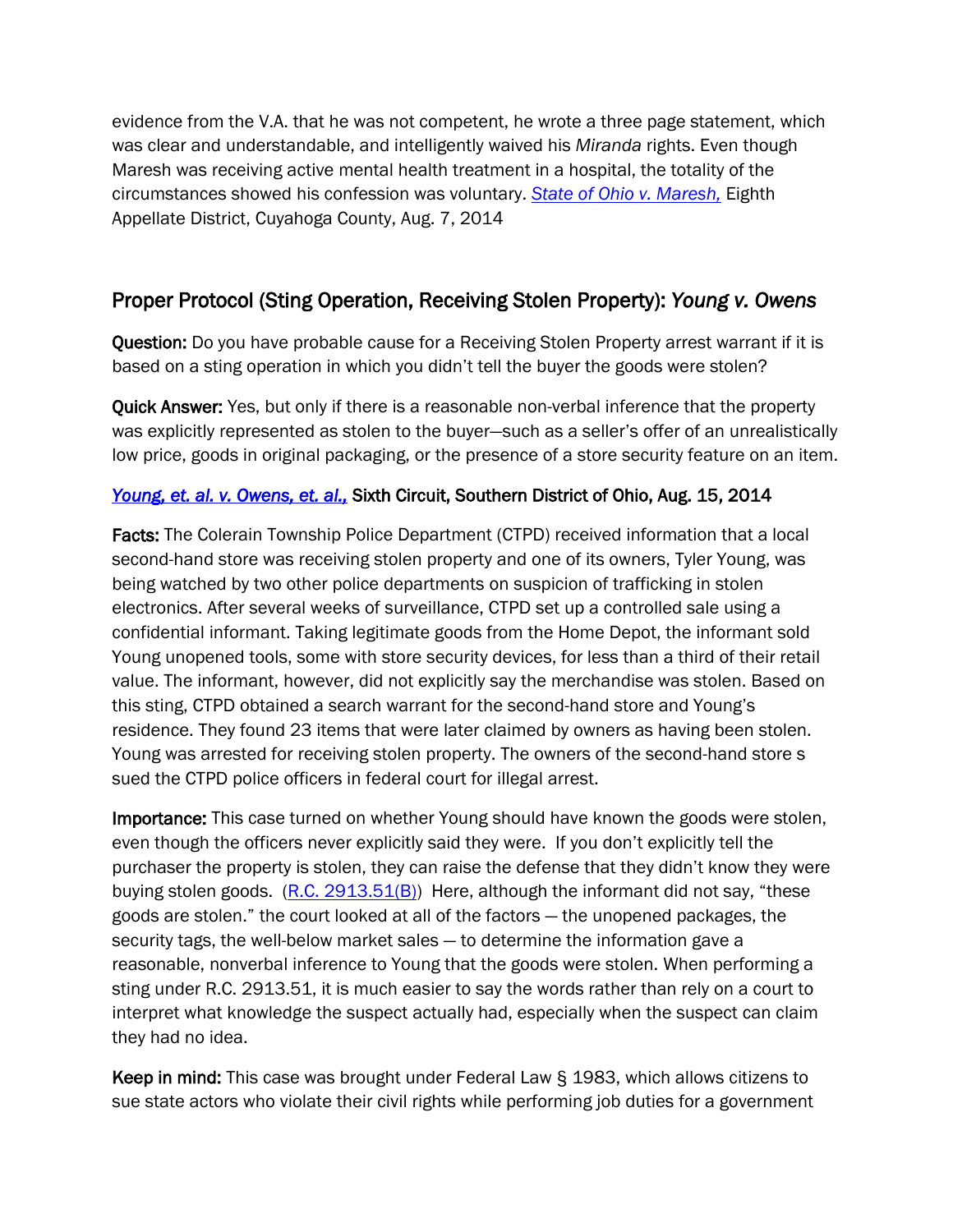evidence from the V.A. that he was not competent, he wrote a three page statement, which was clear and understandable, and intelligently waived his *Miranda* rights. Even though Maresh was receiving active mental health treatment in a hospital, the totality of the circumstances showed his confession was voluntary. *[State of Ohio v. Maresh,](http://www.sconet.state.oh.us/rod/docs/pdf/8/2014/2014-ohio-3410.pdf)* Eighth Appellate District, Cuyahoga County, Aug. 7, 2014

## Proper Protocol (Sting Operation, Receiving Stolen Property): *Young v. Owens*

Question: Do you have probable cause for a Receiving Stolen Property arrest warrant if it is based on a sting operation in which you didn't tell the buyer the goods were stolen?

Quick Answer: Yes, but only if there is a reasonable non-verbal inference that the property was explicitly represented as stolen to the buyer—such as a seller's offer of an unrealistically low price, goods in original packaging, or the presence of a store security feature on an item.

## *[Young, et. al. v. Owens, et. al.,](http://www.ca6.uscourts.gov/opinions.pdf/14a0634n-06.pdf)* Sixth Circuit, Southern District of Ohio, Aug. 15, 2014

Facts: The Colerain Township Police Department (CTPD) received information that a local second-hand store was receiving stolen property and one of its owners, Tyler Young, was being watched by two other police departments on suspicion of trafficking in stolen electronics. After several weeks of surveillance, CTPD set up a controlled sale using a confidential informant. Taking legitimate goods from the Home Depot, the informant sold Young unopened tools, some with store security devices, for less than a third of their retail value. The informant, however, did not explicitly say the merchandise was stolen. Based on this sting, CTPD obtained a search warrant for the second-hand store and Young's residence. They found 23 items that were later claimed by owners as having been stolen. Young was arrested for receiving stolen property. The owners of the second-hand store s sued the CTPD police officers in federal court for illegal arrest.

Importance: This case turned on whether Young should have known the goods were stolen, even though the officers never explicitly said they were. If you don't explicitly tell the purchaser the property is stolen, they can raise the defense that they didn't know they were buying stolen goods.  $(R.C. 2913.51(B))$  $(R.C. 2913.51(B))$  Here, although the informant did not say, "these goods are stolen.‖ the court looked at all of the factors — the unopened packages, the security tags, the well-below market sales — to determine the information gave a reasonable, nonverbal inference to Young that the goods were stolen. When performing a sting under R.C. 2913.51, it is much easier to say the words rather than rely on a court to interpret what knowledge the suspect actually had, especially when the suspect can claim they had no idea.

Keep in mind: This case was brought under Federal Law § 1983, which allows citizens to sue state actors who violate their civil rights while performing job duties for a government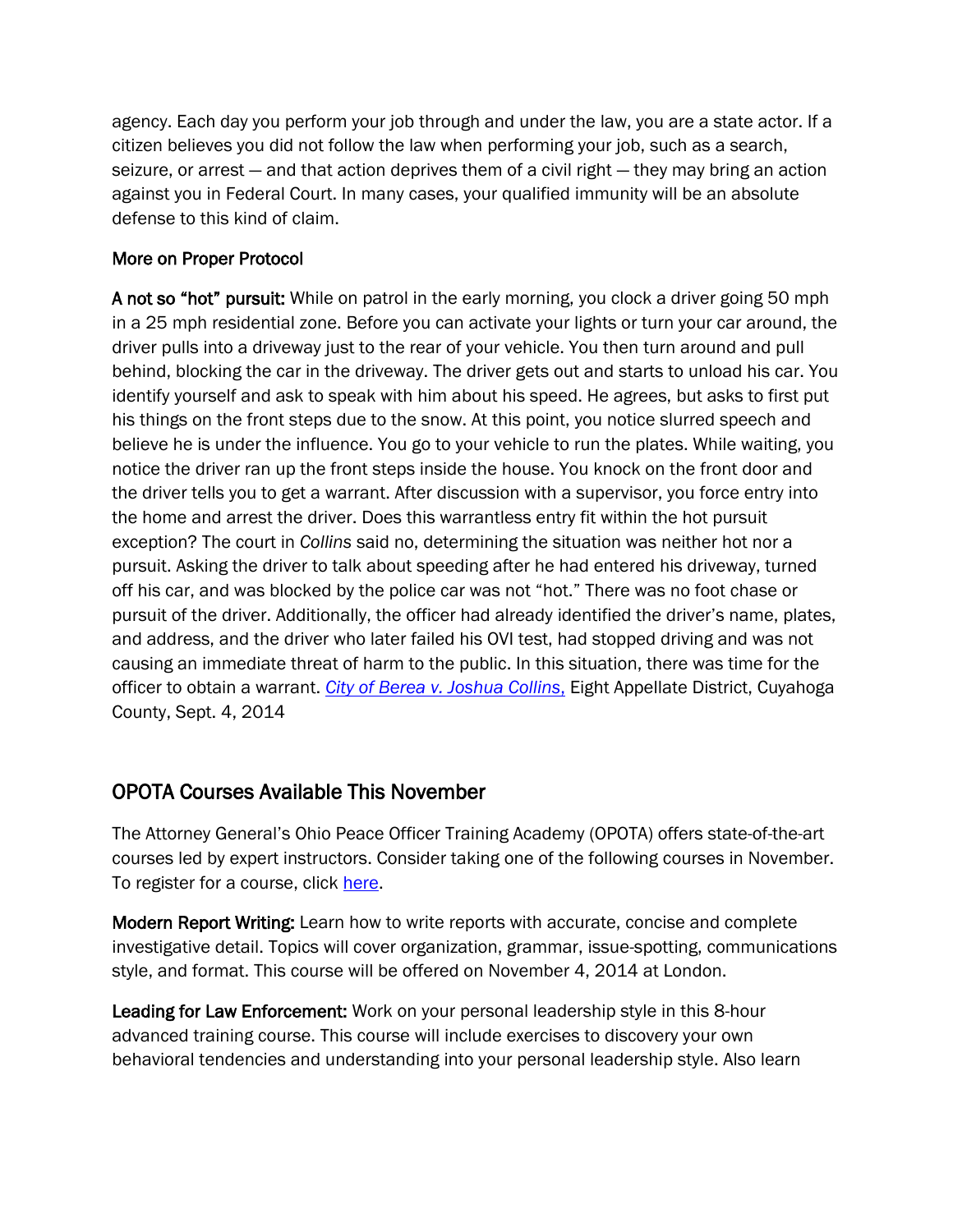agency. Each day you perform your job through and under the law, you are a state actor. If a citizen believes you did not follow the law when performing your job, such as a search, seizure, or arrest — and that action deprives them of a civil right — they may bring an action against you in Federal Court. In many cases, your qualified immunity will be an absolute defense to this kind of claim.

### More on Proper Protocol

A not so "hot" pursuit: While on patrol in the early morning, you clock a driver going 50 mph in a 25 mph residential zone. Before you can activate your lights or turn your car around, the driver pulls into a driveway just to the rear of your vehicle. You then turn around and pull behind, blocking the car in the driveway. The driver gets out and starts to unload his car. You identify yourself and ask to speak with him about his speed. He agrees, but asks to first put his things on the front steps due to the snow. At this point, you notice slurred speech and believe he is under the influence. You go to your vehicle to run the plates. While waiting, you notice the driver ran up the front steps inside the house. You knock on the front door and the driver tells you to get a warrant. After discussion with a supervisor, you force entry into the home and arrest the driver. Does this warrantless entry fit within the hot pursuit exception? The court in *Collins* said no, determining the situation was neither hot nor a pursuit. Asking the driver to talk about speeding after he had entered his driveway, turned off his car, and was blocked by the police car was not "hot." There was no foot chase or pursuit of the driver. Additionally, the officer had already identified the driver's name, plates, and address, and the driver who later failed his OVI test, had stopped driving and was not causing an immediate threat of harm to the public. In this situation, there was time for the officer to obtain a warrant. *[City of Berea v. Joshua Collins](http://www.sconet.state.oh.us/rod/docs/pdf/8/2014/2014-ohio-3822.pdf)*, Eight Appellate District, Cuyahoga County, Sept. 4, 2014

## OPOTA Courses Available This November

The Attorney General's Ohio Peace Officer Training Academy (OPOTA) offers state-of-the-art courses led by expert instructors. Consider taking one of the following courses in November. To register for a course, click [here.](http://www.ohioattorneygeneral.gov/Files/Law-Enforcement/Ohio-Peace-Officer-Training-Academy/OPOTA-Course-Catalog/OPOTARegistration.aspx)

Modern Report Writing: Learn how to write reports with accurate, concise and complete investigative detail. Topics will cover organization, grammar, issue-spotting, communications style, and format. This course will be offered on November 4, 2014 at London.

Leading for Law Enforcement: Work on your personal leadership style in this 8-hour advanced training course. This course will include exercises to discovery your own behavioral tendencies and understanding into your personal leadership style. Also learn